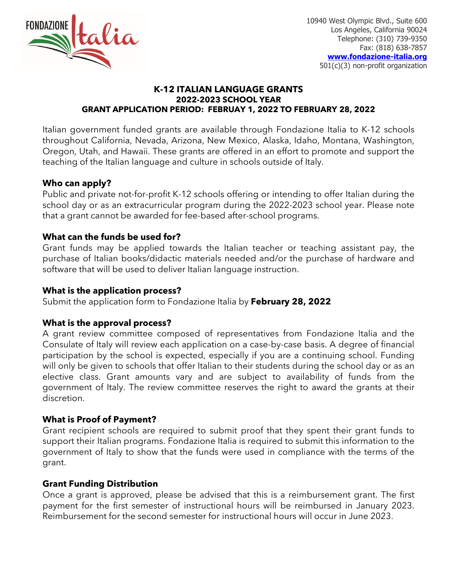

10940 West Olympic Blvd., Suite 600 Los Angeles, California 90024 Telephone: (310) 739-9350 Fax: (818) 638-7857 **[www.fondazione-italia.org](http://www.fondazione-italia.org/)** 501(c)(3) non-profit organization

## **K-12 ITALIAN LANGUAGE GRANTS 2022-2023 SCHOOL YEAR GRANT APPLICATION PERIOD: FEBRUAY 1, 2022 TO FEBRUARY 28, 2022**

Italian government funded grants are available through Fondazione Italia to K-12 schools throughout California, Nevada, Arizona, New Mexico, Alaska, Idaho, Montana, Washington, Oregon, Utah, and Hawaii. These grants are offered in an effort to promote and support the teaching of the Italian language and culture in schools outside of Italy.

# **Who can apply?**

Public and private not-for-profit K-12 schools offering or intending to offer Italian during the school day or as an extracurricular program during the 2022-2023 school year. Please note that a grant cannot be awarded for fee-based after-school programs.

## **What can the funds be used for?**

Grant funds may be applied towards the Italian teacher or teaching assistant pay, the purchase of Italian books/didactic materials needed and/or the purchase of hardware and software that will be used to deliver Italian language instruction.

## **What is the application process?**

Submit the application form to Fondazione Italia by **February 28, 2022**

#### **What is the approval process?**

A grant review committee composed of representatives from Fondazione Italia and the Consulate of Italy will review each application on a case-by-case basis. A degree of financial participation by the school is expected, especially if you are a continuing school. Funding will only be given to schools that offer Italian to their students during the school day or as an elective class. Grant amounts vary and are subject to availability of funds from the government of Italy. The review committee reserves the right to award the grants at their discretion.

# **What is Proof of Payment?**

Grant recipient schools are required to submit proof that they spent their grant funds to support their Italian programs. Fondazione Italia is required to submit this information to the government of Italy to show that the funds were used in compliance with the terms of the grant.

#### **Grant Funding Distribution**

Once a grant is approved, please be advised that this is a reimbursement grant. The first payment for the first semester of instructional hours will be reimbursed in January 2023. Reimbursement for the second semester for instructional hours will occur in June 2023.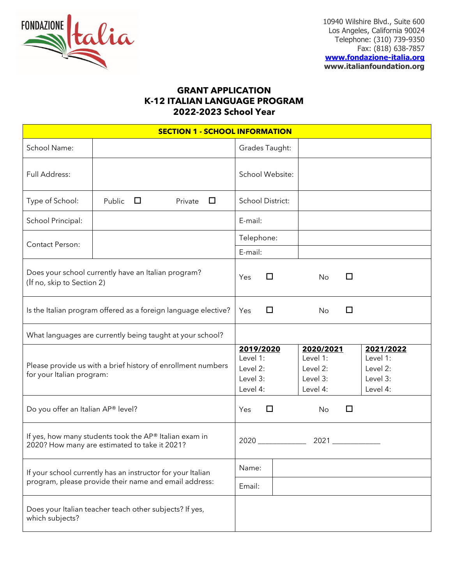

10940 Wilshire Blvd., Suite 600 Los Angeles, California 90024 Telephone: (310) 739-9350 Fax: (818) 638-7857

**[www.fondazione-italia.org](http://www.fondazione-italia.org/) www.italianfoundation.org**

## **GRANT APPLICATION K-12 ITALIAN LANGUAGE PROGRAM 2022-2023 School Year**

| <b>SECTION 1 - SCHOOL INFORMATION</b>                                                                                |                                                           |                                                           |                         |                                                           |   |                                                           |  |
|----------------------------------------------------------------------------------------------------------------------|-----------------------------------------------------------|-----------------------------------------------------------|-------------------------|-----------------------------------------------------------|---|-----------------------------------------------------------|--|
| School Name:                                                                                                         |                                                           |                                                           | Grades Taught:          |                                                           |   |                                                           |  |
| Full Address:                                                                                                        |                                                           |                                                           | School Website:         |                                                           |   |                                                           |  |
| Type of School:                                                                                                      | Public<br>$\Box$                                          | Private<br>$\Box$                                         | <b>School District:</b> |                                                           |   |                                                           |  |
| School Principal:                                                                                                    |                                                           |                                                           | E-mail:                 |                                                           |   |                                                           |  |
| Contact Person:                                                                                                      |                                                           |                                                           | Telephone:              |                                                           |   |                                                           |  |
| Does your school currently have an Italian program?<br>(If no, skip to Section 2)                                    |                                                           | E-mail:<br>Yes                                            | □                       | No                                                        | П |                                                           |  |
| Is the Italian program offered as a foreign language elective?                                                       |                                                           | Yes                                                       | □                       | No                                                        | □ |                                                           |  |
|                                                                                                                      | What languages are currently being taught at your school? |                                                           |                         |                                                           |   |                                                           |  |
| Please provide us with a brief history of enrollment numbers<br>for your Italian program:                            |                                                           | 2019/2020<br>Level 1:<br>Level 2:<br>Level 3:<br>Level 4: |                         | 2020/2021<br>Level 1:<br>Level 2:<br>Level 3:<br>Level 4: |   | 2021/2022<br>Level 1:<br>Level 2:<br>Level 3:<br>Level 4: |  |
| Do you offer an Italian AP® level?                                                                                   |                                                           | Yes                                                       | □                       | No                                                        | п |                                                           |  |
| If yes, how many students took the AP® Italian exam in<br>2020? How many are estimated to take it 2021?              |                                                           |                                                           |                         | 2021 2020                                                 |   |                                                           |  |
| If your school currently has an instructor for your Italian<br>program, please provide their name and email address: |                                                           | Name:                                                     |                         |                                                           |   |                                                           |  |
|                                                                                                                      |                                                           | Email:                                                    |                         |                                                           |   |                                                           |  |
| Does your Italian teacher teach other subjects? If yes,<br>which subjects?                                           |                                                           |                                                           |                         |                                                           |   |                                                           |  |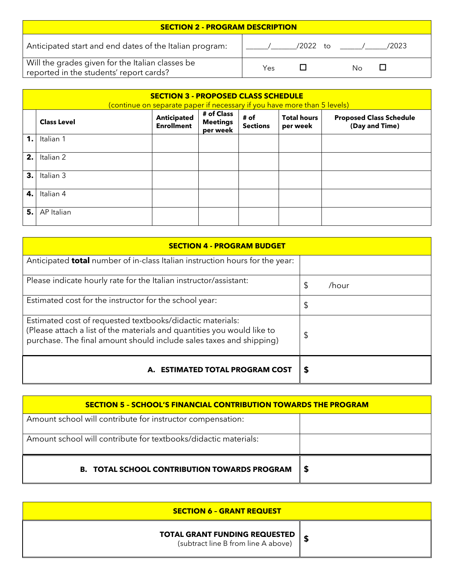| <b>SECTION 2 - PROGRAM DESCRIPTION</b>                                                      |     |             |                    |  |  |
|---------------------------------------------------------------------------------------------|-----|-------------|--------------------|--|--|
| Anticipated start and end dates of the Italian program:                                     |     | 12022<br>†റ | /2023              |  |  |
| Will the grades given for the Italian classes be<br>reported in the students' report cards? | Yes |             | $\mathbf{L}$<br>No |  |  |

|    | <b>SECTION 3 - PROPOSED CLASS SCHEDULE</b><br>(continue on separate paper if necessary if you have more than 5 levels) |                                         |                                           |                         |                                |                                                  |
|----|------------------------------------------------------------------------------------------------------------------------|-----------------------------------------|-------------------------------------------|-------------------------|--------------------------------|--------------------------------------------------|
|    | <b>Class Level</b>                                                                                                     | <b>Anticipated</b><br><b>Enrollment</b> | # of Class<br><b>Meetings</b><br>per week | # of<br><b>Sections</b> | <b>Total hours</b><br>per week | <b>Proposed Class Schedule</b><br>(Day and Time) |
| 1. | Italian 1                                                                                                              |                                         |                                           |                         |                                |                                                  |
| 2. | Italian 2                                                                                                              |                                         |                                           |                         |                                |                                                  |
| 3. | Italian 3                                                                                                              |                                         |                                           |                         |                                |                                                  |
| 4. | Italian 4                                                                                                              |                                         |                                           |                         |                                |                                                  |
| 5. | AP Italian                                                                                                             |                                         |                                           |                         |                                |                                                  |

| <b>SECTION 4 - PROGRAM BUDGET</b>                                                                                                                                                                           |             |
|-------------------------------------------------------------------------------------------------------------------------------------------------------------------------------------------------------------|-------------|
| Anticipated <b>total</b> number of in-class Italian instruction hours for the year:                                                                                                                         |             |
| Please indicate hourly rate for the Italian instructor/assistant:                                                                                                                                           | \$<br>/hour |
| Estimated cost for the instructor for the school year:                                                                                                                                                      | \$          |
| Estimated cost of requested textbooks/didactic materials:<br>(Please attach a list of the materials and quantities you would like to<br>purchase. The final amount should include sales taxes and shipping) | \$          |
| A. ESTIMATED TOTAL PROGRAM COST                                                                                                                                                                             | S           |

| <b>SECTION 5 - SCHOOL'S FINANCIAL CONTRIBUTION TOWARDS THE PROGRAM</b> |    |  |  |
|------------------------------------------------------------------------|----|--|--|
| Amount school will contribute for instructor compensation:             |    |  |  |
| Amount school will contribute for textbooks/didactic materials:        |    |  |  |
| <b>B. TOTAL SCHOOL CONTRIBUTION TOWARDS PROGRAM</b>                    | -5 |  |  |

| <b>SECTION 6 - GRANT REQUEST</b>                                            |  |  |  |
|-----------------------------------------------------------------------------|--|--|--|
| <b>TOTAL GRANT FUNDING REQUESTED</b><br>(subtract line B from line A above) |  |  |  |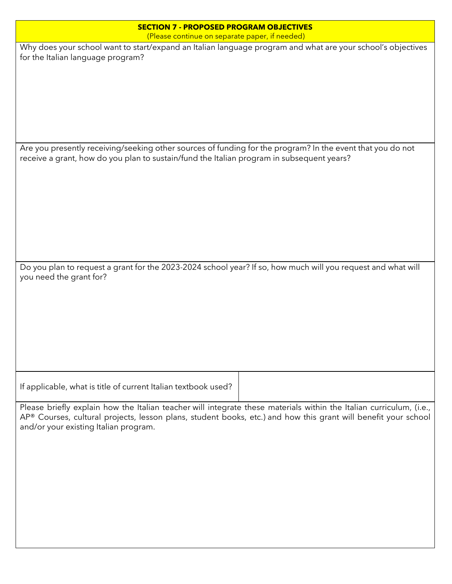| <b>SECTION 7 - PROPOSED PROGRAM OBJECTIVES</b>                                                                                                                                                                                                                                 |
|--------------------------------------------------------------------------------------------------------------------------------------------------------------------------------------------------------------------------------------------------------------------------------|
| (Please continue on separate paper, if needed)                                                                                                                                                                                                                                 |
| Why does your school want to start/expand an Italian language program and what are your school's objectives<br>for the Italian language program?                                                                                                                               |
|                                                                                                                                                                                                                                                                                |
| Are you presently receiving/seeking other sources of funding for the program? In the event that you do not<br>receive a grant, how do you plan to sustain/fund the Italian program in subsequent years?                                                                        |
| Do you plan to request a grant for the 2023-2024 school year? If so, how much will you request and what will                                                                                                                                                                   |
| you need the grant for?                                                                                                                                                                                                                                                        |
| If applicable, what is title of current Italian textbook used?                                                                                                                                                                                                                 |
| Please briefly explain how the Italian teacher will integrate these materials within the Italian curriculum, (i.e.,<br>AP® Courses, cultural projects, lesson plans, student books, etc.) and how this grant will benefit your school<br>and/or your existing Italian program. |
|                                                                                                                                                                                                                                                                                |